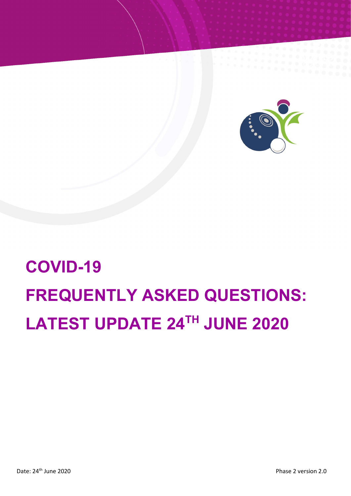

# **COVID-19 FREQUENTLY ASKED QUESTIONS: LATEST UPDATE 24TH JUNE 2020**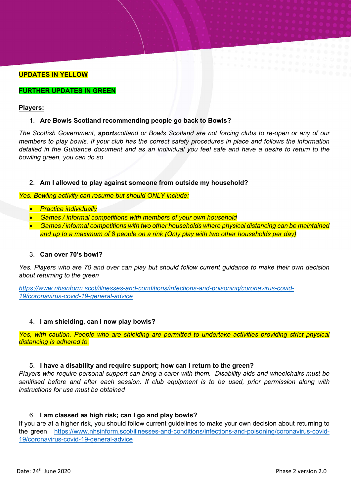# **UPDATES IN YELLOW**

#### **FURTHER UPDATES IN GREEN**

#### **Players:**

#### 1. **Are Bowls Scotland recommending people go back to Bowls?**

*The Scottish Government, sportscotland or Bowls Scotland are not forcing clubs to re-open or any of our members to play bowls. If your club has the correct safety procedures in place and follows the information detailed in the Guidance document and as an individual you feel safe and have a desire to return to the bowling green, you can do so*

## 2. **Am I allowed to play against someone from outside my household?**

*Yes. Bowling activity can resume but should ONLY include:*

- *Practice individually*
- *Games / informal competitions with members of your own household*
- *Games / informal competitions with two other households where physical distancing can be maintained and up to a maximum of 8 people on a rink (Only play with two other households per day)*

## 3. **Can over 70's bowl?**

*Yes. Players who are 70 and over can play but should follow current guidance to make their own decision about returning to the green* 

*[https://www.nhsinform.scot/illnesses-and-conditions/infections-and-poisoning/coronavirus-covid-](https://www.nhsinform.scot/illnesses-and-conditions/infections-and-poisoning/coronavirus-covid-19/coronavirus-covid-19-general-advice)[19/coronavirus-covid-19-general-advice](https://www.nhsinform.scot/illnesses-and-conditions/infections-and-poisoning/coronavirus-covid-19/coronavirus-covid-19-general-advice)*

#### 4. **I am shielding, can I now play bowls?**

*Yes, with caution. People who are shielding are permitted to undertake activities providing strict physical distancing is adhered to.*

#### 5. **I have a disability and require support; how can I return to the green?**

*Players who require personal support can bring a carer with them. Disability aids and wheelchairs must be sanitised before and after each session. If club equipment is to be used, prior permission along with instructions for use must be obtained*

#### 6. **I am classed as high risk; can I go and play bowls?**

If you are at a higher risk, you should follow current guidelines to make your own decision about returning to the green. [https://www.nhsinform.scot/illnesses-and-conditions/infections-and-poisoning/coronavirus-covid-](https://www.nhsinform.scot/illnesses-and-conditions/infections-and-poisoning/coronavirus-covid-19/coronavirus-covid-19-general-advice)[19/coronavirus-covid-19-general-advice](https://www.nhsinform.scot/illnesses-and-conditions/infections-and-poisoning/coronavirus-covid-19/coronavirus-covid-19-general-advice)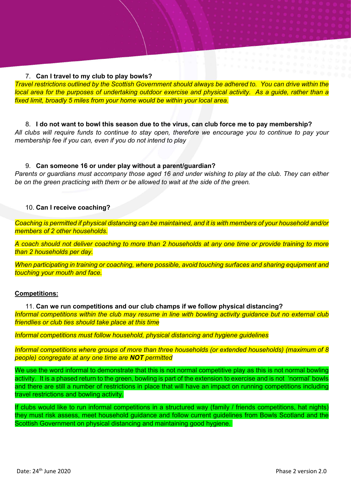# 7. **Can I travel to my club to play bowls?**

*Travel restrictions outlined by the Scottish Government should always be adhered to. You can drive within the local area for the purposes of undertaking outdoor exercise and physical activity. As a guide, rather than a fixed limit, broadly 5 miles from your home would be within your local area.*

8. **I do not want to bowl this season due to the virus, can club force me to pay membership?** *All clubs will require funds to continue to stay open, therefore we encourage you to continue to pay your membership fee if you can, even if you do not intend to play*

# 9. **Can someone 16 or under play without a parent/guardian?**

*Parents or guardians must accompany those aged 16 and under wishing to play at the club. They can either be on the green practicing with them or be allowed to wait at the side of the green.*

# 10. **Can I receive coaching?**

*Coaching is permitted if physical distancing can be maintained, and it is with members of your household and/or members of 2 other households.* 

*A coach should not deliver coaching to more than 2 households at any one time or provide training to more than 2 households per day.* 

*When participating in training or coaching, where possible, avoid touching surfaces and sharing equipment and touching your mouth and face.*

# **Competitions:**

11. **Can we run competitions and our club champs if we follow physical distancing?** *Informal competitions within the club may resume in line with bowling activity guidance but no external club friendlies or club ties should take place at this time*

*Informal competitions must follow household, physical distancing and hygiene guidelines* 

*Informal competitions where groups of more than three households (or extended households) (maximum of 8 people) congregate at any one time are NOT permitted*

We use the word informal to demonstrate that this is not normal competitive play as this is not normal bowling activity. It is a phased return to the green, bowling is part of the extension to exercise and is not 'normal' bowls and there are still a number of restrictions in place that will have an impact on running competitions including travel restrictions and bowling activity.

If clubs would like to run informal competitions in a structured way (family / friends competitions, hat nights) they must risk assess, meet household guidance and follow current guidelines from Bowls Scotland and the Scottish Government on physical distancing and maintaining good hygiene.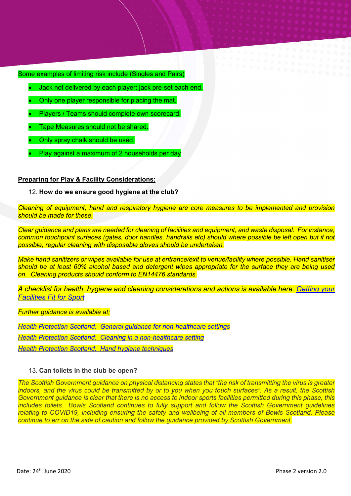Some examples of limiting risk include (Singles and Pairs)

- Jack not delivered by each player; jack pre-set each end.
- Only one player responsible for placing the mat.
- Players / Teams should complete own scorecard.
- Tape Measures should not be shared.
- Only spray chalk should be used.
- Play against a maximum of 2 households per day

# **Preparing for Play & Facility Considerations:**

#### 12. **How do we ensure good hygiene at the club?**

*Cleaning of equipment, hand and respiratory hygiene are core measures to be implemented and provision should be made for these.* 

*Clear guidance and plans are needed for cleaning of facilities and equipment, and waste disposal. For instance, common touchpoint surfaces (gates, door handles, handrails etc) should where possible be left open but if not possible, regular cleaning with disposable gloves should be undertaken.*

*Make hand sanitizers or wipes available for use at entrance/exit to venue/facility where possible. Hand sanitiser should be at least 60% alcohol based and detergent wipes appropriate for the surface they are being used on. Cleaning products should conform to EN14476 standards.*

*A checklist for health, hygiene and cleaning considerations and actions is available here: [Getting your](http://www.sportscotland.org.uk/covid-19/getting-your-facilities-fit-for-sport/)  [Facilities Fit for Sport](http://www.sportscotland.org.uk/covid-19/getting-your-facilities-fit-for-sport/)*

*Further guidance is available at;*

*[Health Protection Scotland: General guidance for non-healthcare settings](http://www.hps.scot.nhs.uk/web-resources-container/covid-19-guidance-for-non-healthcare-settings/)*

*[Health Protection Scotland: Cleaning in a non-healthcare setting](http://www.gov.uk/government/publications/covid-19-decontamination-in-non-healthcare-settings/covid-19-decontamination-in-non-healthcare-settings)*

*[Health Protection Scotland: Hand hygiene techniques](http://www.hps.scot.nhs.uk/a-to-z-of-topics/hand-hygiene/)*

#### 13. **Can toilets in the club be open?**

*The Scottish Government guidance on physical distancing states that "the risk of transmitting the virus is greater indoors, and the virus could be transmitted by or to you when you touch surfaces". As a result, the Scottish Government guidance is clear that there is no access to indoor sports facilities permitted during this phase, this includes toilets. Bowls Scotland continues to fully support and follow the Scottish Government guidelines relating to COVID19, including ensuring the safety and wellbeing of all members of Bowls Scotland. Please continue to err on the side of caution and follow the guidance provided by Scottish Government.*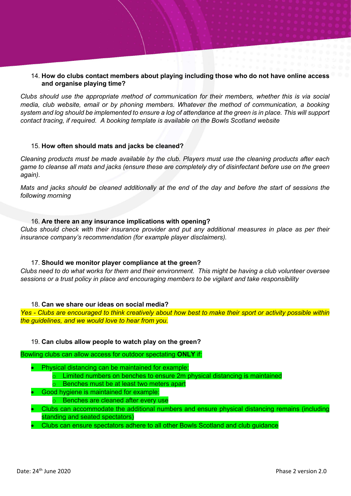# 14. **How do clubs contact members about playing including those who do not have online access and organise playing time?**

*Clubs should use the appropriate method of communication for their members, whether this is via social media, club website, email or by phoning members. Whatever the method of communication, a booking system and log should be implemented to ensure a log of attendance at the green is in place. This will support contact tracing, if required. A booking template is available on the Bowls Scotland website*

# 15. **How often should mats and jacks be cleaned?**

*Cleaning products must be made available by the club. Players must use the cleaning products after each game to cleanse all mats and jacks (ensure these are completely dry of disinfectant before use on the green again).*

*Mats and jacks should be cleaned additionally at the end of the day and before the start of sessions the following morning*

## 16. **Are there an any insurance implications with opening?**

*Clubs should check with their insurance provider and put any additional measures in place as per their insurance company's recommendation (for example player disclaimers).*

# 17. **Should we monitor player compliance at the green?**

*Clubs need to do what works for them and their environment. This might be having a club volunteer oversee sessions or a trust policy in place and encouraging members to be vigilant and take responsibility*

#### 18. **Can we share our ideas on social media?**

*Yes - Clubs are encouraged to think creatively about how best to make their sport or activity possible within the guidelines, and we would love to hear from you.* 

# 19. **Can clubs allow people to watch play on the green?**

Bowling clubs can allow access for outdoor spectating **ONLY** if:

- Physical distancing can be maintained for example:
	- $\circ$  Limited numbers on benches to ensure 2m physical distancing is maintained
	- o Benches must be at least two meters apart
- Good hygiene is maintained for example:
	- o Benches are cleaned after every use
- Clubs can accommodate the additional numbers and ensure physical distancing remains (including standing and seated spectators)
- Clubs can ensure spectators adhere to all other Bowls Scotland and club guidance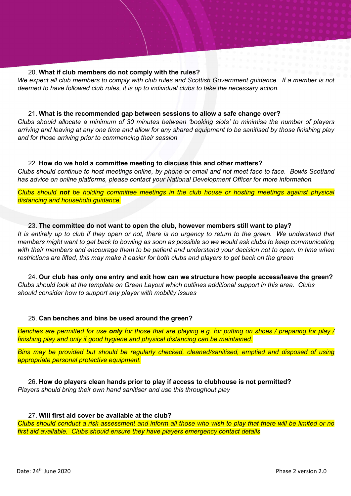## 20. **What if club members do not comply with the rules?**

*We expect all club members to comply with club rules and Scottish Government guidance. If a member is not deemed to have followed club rules, it is up to individual clubs to take the necessary action.*

## 21. **What is the recommended gap between sessions to allow a safe change over?**

*Clubs should allocate a minimum of 30 minutes between 'booking slots' to minimise the number of players arriving and leaving at any one time and allow for any shared equipment to be sanitised by those finishing play and for those arriving prior to commencing their session*

## 22. **How do we hold a committee meeting to discuss this and other matters?**

*Clubs should continue to host meetings online, by phone or email and not meet face to face. Bowls Scotland has advice on online platforms, please contact your National Development Officer for more information.*

*Clubs should not be holding committee meetings in the club house or hosting meetings against physical distancing and household guidance.*

# 23. **The committee do not want to open the club, however members still want to play?** *It is entirely up to club if they open or not, there is no urgency to return to the green. We understand that members might want to get back to bowling as soon as possible so we would ask clubs to keep communicating*  with their members and encourage them to be patient and understand your decision not to open. In time when

*restrictions are lifted, this may make it easier for both clubs and players to get back on the green*

24. **Our club has only one entry and exit how can we structure how people access/leave the green?** *Clubs should look at the template on Green Layout which outlines additional support in this area. Clubs should consider how to support any player with mobility issues*

#### 25. **Can benches and bins be used around the green?**

*Benches are permitted for use only for those that are playing e.g. for putting on shoes / preparing for play / finishing play and only if good hygiene and physical distancing can be maintained.*

*Bins may be provided but should be regularly checked, cleaned/sanitised, emptied and disposed of using appropriate personal protective equipment.*

26. **How do players clean hands prior to play if access to clubhouse is not permitted?** *Players should bring their own hand sanitiser and use this throughout play*

# 27. **Will first aid cover be available at the club?**

*Clubs should conduct a risk assessment and inform all those who wish to play that there will be limited or no first aid available. Clubs should ensure they have players emergency contact details*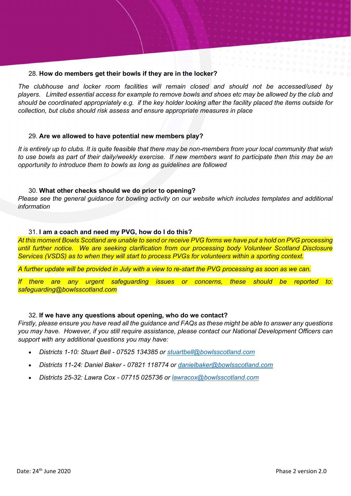# 28. **How do members get their bowls if they are in the locker?**

*The clubhouse and locker room facilities will remain closed and should not be accessed/used by players. Limited essential access for example to remove bowls and shoes etc may be allowed by the club and should be coordinated appropriately e.g. if the key holder looking after the facility placed the items outside for collection, but clubs should risk assess and ensure appropriate measures in place*

## 29. **Are we allowed to have potential new members play?**

*It is entirely up to clubs. It is quite feasible that there may be non-members from your local community that wish to use bowls as part of their daily/weekly exercise. If new members want to participate then this may be an opportunity to introduce them to bowls as long as guidelines are followed*

## 30. **What other checks should we do prior to opening?**

*Please see the general guidance for bowling activity on our website which includes templates and additional information*

## 31. **I am a coach and need my PVG, how do I do this?**

*At this moment Bowls Scotland are unable to send or receive PVG forms we have put a hold on PVG processing until further notice. We are seeking clarification from our processing body Volunteer Scotland Disclosure Services (VSDS) as to when they will start to process PVGs for volunteers within a sporting context.*

*A further update will be provided in July with a view to re-start the PVG processing as soon as we can.*

*If there are any urgent safeguarding issues or concerns, these should be reported to: safeguarding@bowlsscotland.com* 

#### 32. **If we have any questions about opening, who do we contact?**

*Firstly, please ensure you have read all the guidance and FAQs as these might be able to answer any questions you may have. However, if you still require assistance, please contact our National Development Officers can support with any additional questions you may have:*

- *Districts 1-10: Stuart Bell - 07525 134385 or [stuartbell@bowlsscotland.com](mailto:stuartbell@bowlsscotland.com)*
- *Districts 11-24: Daniel Baker - 07821 118774 or [danielbaker@bowlsscotland.com](mailto:danielbaker@bowlsscotland.com)*
- *Districts 25-32: Lawra Cox - 07715 025736 or [lawracox@bowlsscotland.com](mailto:lawracox@bowlsscotland.com)*